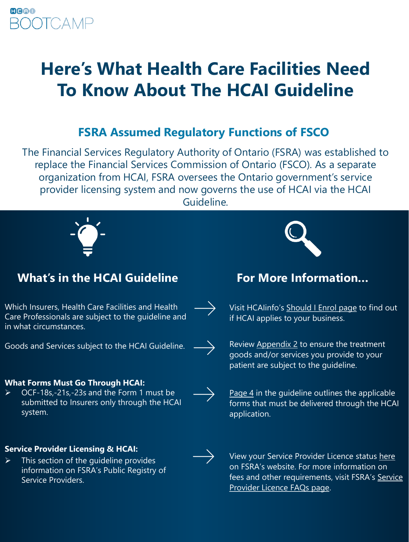# **Here's What Health Care Facilities Need To Know About The HCAI Guideline**

## **FSRA Assumed Regulatory Functions of FSCO**

The Financial Services Regulatory Authority of Ontario (FSRA) was established to replace the Financial Services Commission of Ontario (FSCO). As a separate organization from HCAI, FSRA oversees the Ontario government's service provider licensing system and now governs the use of HCAI via the HCAI Guideline.



## **What's in the HCAI Guideline For More Information…**

Which Insurers, Health Care Facilities and Health Care Professionals are subject to the guideline and in what circumstances.

Goods and Services subject to the HCAI Guideline.

## **What Forms Must Go Through HCAI:**

 OCF-18s,-21s,-23s and the Form 1 must be submitted to Insurers only through the HCAI system.

## **Service Provider Licensing & HCAI:**

 $\triangleright$  This section of the quideline provides information on FSRA's Public Registry of Service Providers.



Visit HCAIinfo's [Should I Enrol](http://www.hcaiinfo.ca/Health-Care-Facility/New-to-HCAI/Enrol-with-HCAI/Should-I-Enrol.asp) page to find out if HCAI applies to your business.

Review [Appendix 2](http://www.fsco.gov.on.ca/en/auto/autobulletins/2018/Documents/a-04-18-1.pdf) to ensure the treatment goods and/or services you provide to your patient are subject to the guideline.

[Page 4](http://www.fsco.gov.on.ca/en/auto/autobulletins/2018/Documents/a-04-18-1.pdf) in the guideline outlines the applicable forms that must be delivered through the HCAI application.



 $\rightarrow$ 

View your Service Provider Licence status [here](https://www.fsco.gov.on.ca/en/service-providers/Pages/public-registry.aspx) on FSRA's website. For more information on [fees and other requirements, visit FSRA's](http://www.fsco.gov.on.ca/en/service-providers/faqs/Pages/default.aspx) Service Provider Licence FAQs page.